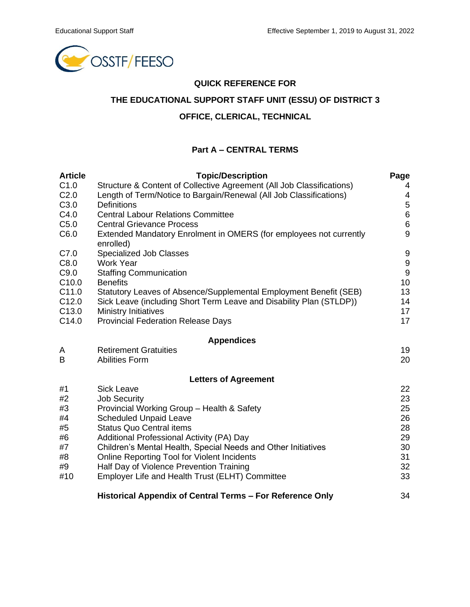

#### **QUICK REFERENCE FOR**

## **THE EDUCATIONAL SUPPORT STAFF UNIT (ESSU) OF DISTRICT 3**

### **OFFICE, CLERICAL, TECHNICAL**

#### **Part A – CENTRAL TERMS**

| <b>Article</b>    | <b>Topic/Description</b>                                                        | Page                                 |  |  |  |
|-------------------|---------------------------------------------------------------------------------|--------------------------------------|--|--|--|
| C1.0              | Structure & Content of Collective Agreement (All Job Classifications)           |                                      |  |  |  |
| C <sub>2.0</sub>  | Length of Term/Notice to Bargain/Renewal (All Job Classifications)              | 4                                    |  |  |  |
| C3.0              | <b>Definitions</b>                                                              | 5<br>$\,6$                           |  |  |  |
| C4.0              | <b>Central Labour Relations Committee</b>                                       |                                      |  |  |  |
| C5.0              | <b>Central Grievance Process</b>                                                |                                      |  |  |  |
| C6.0              | Extended Mandatory Enrolment in OMERS (for employees not currently<br>enrolled) | 9                                    |  |  |  |
| C7.0              | Specialized Job Classes                                                         |                                      |  |  |  |
| C8.0              | <b>Work Year</b>                                                                | $\boldsymbol{9}$<br>$\boldsymbol{9}$ |  |  |  |
| C9.0              | <b>Staffing Communication</b>                                                   |                                      |  |  |  |
| C <sub>10.0</sub> | <b>Benefits</b>                                                                 | 10<br>13                             |  |  |  |
| C11.0             | Statutory Leaves of Absence/Supplemental Employment Benefit (SEB)               |                                      |  |  |  |
| C <sub>12.0</sub> | Sick Leave (including Short Term Leave and Disability Plan (STLDP))             | 14                                   |  |  |  |
| C <sub>13.0</sub> | <b>Ministry Initiatives</b>                                                     | 17                                   |  |  |  |
| C14.0             | <b>Provincial Federation Release Days</b>                                       | 17                                   |  |  |  |
|                   | <b>Appendices</b>                                                               |                                      |  |  |  |
| A                 | <b>Retirement Gratuities</b>                                                    | 19                                   |  |  |  |
| B                 | <b>Abilities Form</b>                                                           | 20                                   |  |  |  |
|                   | <b>Letters of Agreement</b>                                                     |                                      |  |  |  |
| #1                | <b>Sick Leave</b>                                                               | 22                                   |  |  |  |
| #2                | <b>Job Security</b>                                                             | 23                                   |  |  |  |
| #3                | Provincial Working Group - Health & Safety                                      | 25                                   |  |  |  |
| #4                | <b>Scheduled Unpaid Leave</b>                                                   | 26                                   |  |  |  |
| #5                | <b>Status Quo Central items</b>                                                 | 28                                   |  |  |  |
| #6                | Additional Professional Activity (PA) Day                                       | 29                                   |  |  |  |
| #7                | Children's Mental Health, Special Needs and Other Initiatives                   | 30                                   |  |  |  |
| #8                | <b>Online Reporting Tool for Violent Incidents</b>                              | 31                                   |  |  |  |
| #9                | Half Day of Violence Prevention Training                                        | 32                                   |  |  |  |
| #10               | Employer Life and Health Trust (ELHT) Committee                                 | 33                                   |  |  |  |
|                   | Historical Appendix of Central Terms - For Reference Only                       | 34                                   |  |  |  |